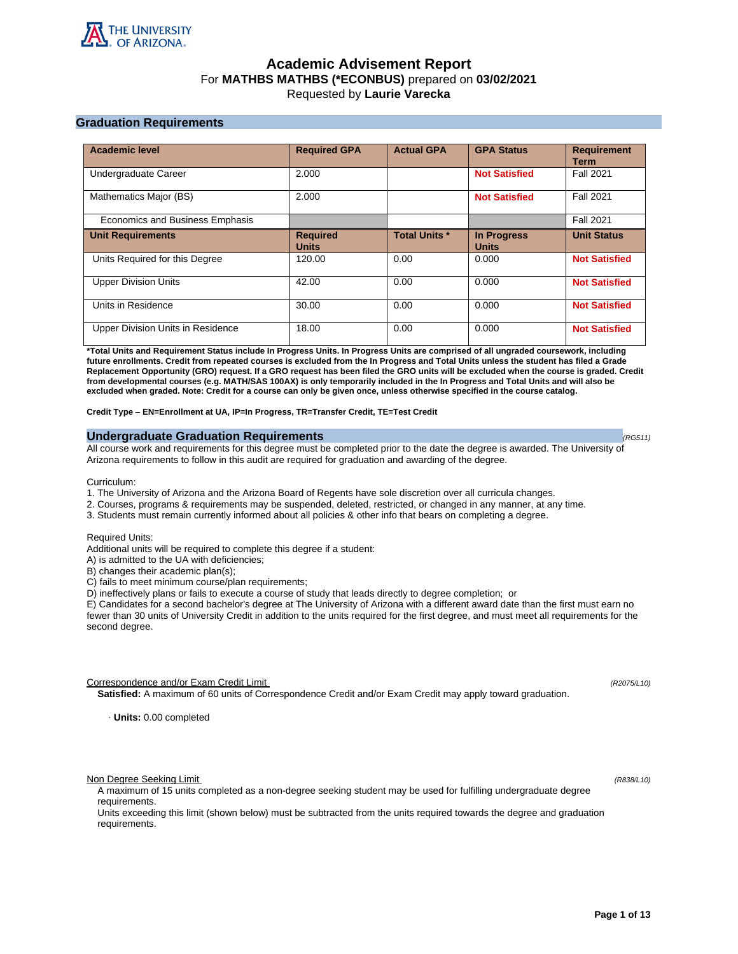

# **Academic Advisement Report** For **MATHBS MATHBS (\*ECONBUS)** prepared on **03/02/2021** Requested by **Laurie Varecka**

# **Graduation Requirements**

| <b>Academic level</b>             | <b>Required GPA</b>             | <b>Actual GPA</b>    | <b>GPA Status</b>                  | <b>Requirement</b><br><b>Term</b> |
|-----------------------------------|---------------------------------|----------------------|------------------------------------|-----------------------------------|
| Undergraduate Career              | 2.000                           |                      | <b>Not Satisfied</b>               | <b>Fall 2021</b>                  |
| Mathematics Major (BS)            | 2.000                           |                      | <b>Not Satisfied</b>               | <b>Fall 2021</b>                  |
| Economics and Business Emphasis   |                                 |                      |                                    | <b>Fall 2021</b>                  |
| <b>Unit Requirements</b>          | <b>Required</b><br><b>Units</b> | <b>Total Units *</b> | <b>In Progress</b><br><b>Units</b> | <b>Unit Status</b>                |
| Units Required for this Degree    | 120.00                          | 0.00                 | 0.000                              | <b>Not Satisfied</b>              |
| <b>Upper Division Units</b>       | 42.00                           | 0.00                 | 0.000                              | <b>Not Satisfied</b>              |
| Units in Residence                | 30.00                           | 0.00                 | 0.000                              | <b>Not Satisfied</b>              |
| Upper Division Units in Residence | 18.00                           | 0.00                 | 0.000                              | <b>Not Satisfied</b>              |

**\*Total Units and Requirement Status include In Progress Units. In Progress Units are comprised of all ungraded coursework, including future enrollments. Credit from repeated courses is excluded from the In Progress and Total Units unless the student has filed a Grade Replacement Opportunity (GRO) request. If a GRO request has been filed the GRO units will be excluded when the course is graded. Credit from developmental courses (e.g. MATH/SAS 100AX) is only temporarily included in the In Progress and Total Units and will also be excluded when graded. Note: Credit for a course can only be given once, unless otherwise specified in the course catalog.**

**Credit Type** – **EN=Enrollment at UA, IP=In Progress, TR=Transfer Credit, TE=Test Credit**

## **Undergraduate Graduation Requirements (RG511) (RG511) (RG511) (RG511)**

All course work and requirements for this degree must be completed prior to the date the degree is awarded. The University of Arizona requirements to follow in this audit are required for graduation and awarding of the degree.

Curriculum:

- 1. The University of Arizona and the Arizona Board of Regents have sole discretion over all curricula changes.
- 2. Courses, programs & requirements may be suspended, deleted, restricted, or changed in any manner, at any time.
- 3. Students must remain currently informed about all policies & other info that bears on completing a degree.

Required Units:

Additional units will be required to complete this degree if a student:

A) is admitted to the UA with deficiencies;

B) changes their academic plan(s);

C) fails to meet minimum course/plan requirements;

D) ineffectively plans or fails to execute a course of study that leads directly to degree completion; or

E) Candidates for a second bachelor's degree at The University of Arizona with a different award date than the first must earn no fewer than 30 units of University Credit in addition to the units required for the first degree, and must meet all requirements for the second degree.

Correspondence and/or Exam Credit Limit (R2075/L10) (R2075/L10)

**Satisfied:** A maximum of 60 units of Correspondence Credit and/or Exam Credit may apply toward graduation.

· **Units:** 0.00 completed

Non Degree Seeking Limit (R838/L10)

A maximum of 15 units completed as a non-degree seeking student may be used for fulfilling undergraduate degree requirements.

Units exceeding this limit (shown below) must be subtracted from the units required towards the degree and graduation requirements.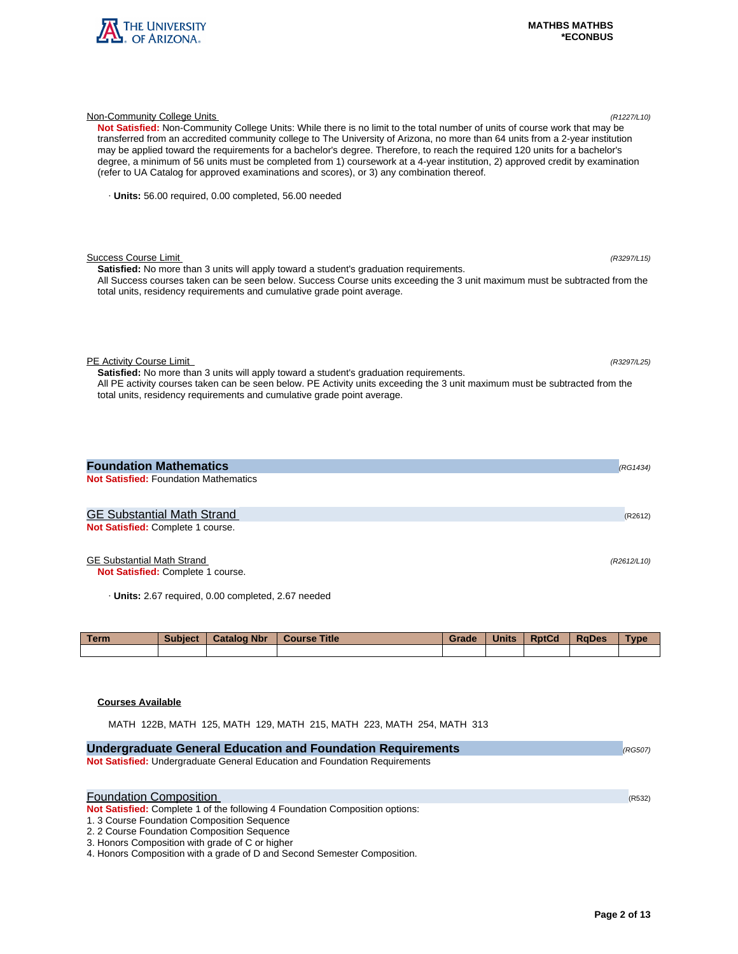

| Not Satisfied: Non-Community College Units: While there is no limit to the total number of units of course work that may be<br>transferred from an accredited community college to The University of Arizona, no more than 64 units from a 2-year institution<br>may be applied toward the requirements for a bachelor's degree. Therefore, to reach the required 120 units for a bachelor's<br>degree, a minimum of 56 units must be completed from 1) coursework at a 4-year institution, 2) approved credit by examination<br>(refer to UA Catalog for approved examinations and scores), or 3) any combination thereof. |         |
|-----------------------------------------------------------------------------------------------------------------------------------------------------------------------------------------------------------------------------------------------------------------------------------------------------------------------------------------------------------------------------------------------------------------------------------------------------------------------------------------------------------------------------------------------------------------------------------------------------------------------------|---------|
| · Units: 56.00 required, 0.00 completed, 56.00 needed                                                                                                                                                                                                                                                                                                                                                                                                                                                                                                                                                                       |         |
| Success Course Limit<br>(R3297/L15)<br><b>Satisfied:</b> No more than 3 units will apply toward a student's graduation requirements.<br>All Success courses taken can be seen below. Success Course units exceeding the 3 unit maximum must be subtracted from the<br>total units, residency requirements and cumulative grade point average.                                                                                                                                                                                                                                                                               |         |
| PE Activity Course Limit<br>(R3297/L25)<br><b>Satisfied:</b> No more than 3 units will apply toward a student's graduation requirements.<br>All PE activity courses taken can be seen below. PE Activity units exceeding the 3 unit maximum must be subtracted from the<br>total units, residency requirements and cumulative grade point average.                                                                                                                                                                                                                                                                          |         |
| <b>Foundation Mathematics</b><br>(RG1434)<br><b>Not Satisfied: Foundation Mathematics</b>                                                                                                                                                                                                                                                                                                                                                                                                                                                                                                                                   |         |
| <b>GE Substantial Math Strand</b><br>Not Satisfied: Complete 1 course.                                                                                                                                                                                                                                                                                                                                                                                                                                                                                                                                                      | (R2612) |

Non-Community College Units (R1227/L10)

# GE Substantial Math Strand (R2612/L10)

**Not Satisfied:** Complete 1 course.

· **Units:** 2.67 required, 0.00 completed, 2.67 needed

| <b>Term</b> | <b>Subject</b> | <b>Catalog Nbr</b> | <b>Course Title</b> | Grade | <b>Units</b> | <b>RptCd</b> | <b>RaDes</b> | <b>Type</b> |
|-------------|----------------|--------------------|---------------------|-------|--------------|--------------|--------------|-------------|
|             |                |                    |                     |       |              |              |              |             |

## **Courses Available**

MATH 122B, MATH 125, MATH 129, MATH 215, MATH 223, MATH 254, MATH 313

| <b>Undergraduate General Education and Foundation Requirements</b>           | (RG507) |
|------------------------------------------------------------------------------|---------|
| Not Satisfied: Undergraduate General Education and Foundation Requirements   |         |
|                                                                              |         |
| <b>Foundation Composition</b>                                                |         |
|                                                                              | (R532)  |
| Not Satisfied: Complete 1 of the following 4 Foundation Composition options: |         |
| 1. 3 Course Foundation Composition Sequence                                  |         |
| 2. 2 Course Foundation Composition Sequence                                  |         |
| 3. Honors Composition with grade of C or higher                              |         |
| 4. Honors Composition with a grade of D and Second Semester Composition.     |         |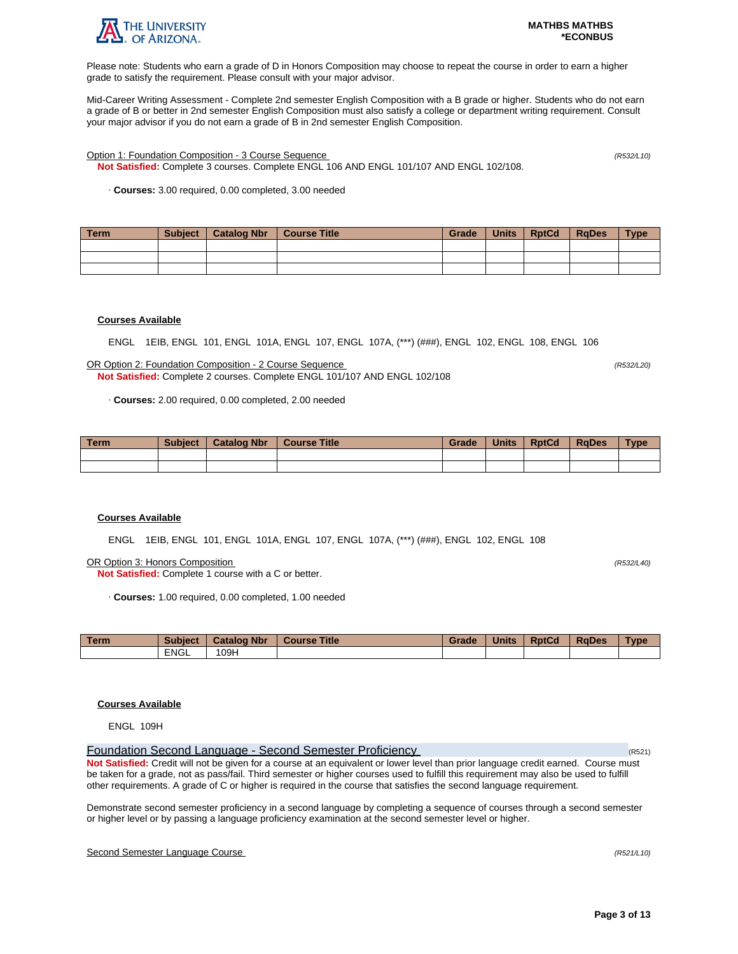

Please note: Students who earn a grade of D in Honors Composition may choose to repeat the course in order to earn a higher grade to satisfy the requirement. Please consult with your major advisor.

Mid-Career Writing Assessment - Complete 2nd semester English Composition with a B grade or higher. Students who do not earn a grade of B or better in 2nd semester English Composition must also satisfy a college or department writing requirement. Consult your major advisor if you do not earn a grade of B in 2nd semester English Composition.

Option 1: Foundation Composition - 3 Course Sequence (R532/L10)

**Not Satisfied:** Complete 3 courses. Complete ENGL 106 AND ENGL 101/107 AND ENGL 102/108.

· **Courses:** 3.00 required, 0.00 completed, 3.00 needed

| Term | <b>Subject</b> | Catalog Nbr | Course Title | Grade | Units | <b>RptCd</b> | <b>RaDes</b> | <b>Type</b> |
|------|----------------|-------------|--------------|-------|-------|--------------|--------------|-------------|
|      |                |             |              |       |       |              |              |             |
|      |                |             |              |       |       |              |              |             |
|      |                |             |              |       |       |              |              |             |

## **Courses Available**

ENGL 1EIB, ENGL 101, ENGL 101A, ENGL 107, ENGL 107A, (\*\*\*) (###), ENGL 102, ENGL 108, ENGL 106

OR Option 2: Foundation Composition - 2 Course Sequence (R532/L20) **Not Satisfied:** Complete 2 courses. Complete ENGL 101/107 AND ENGL 102/108

· **Courses:** 2.00 required, 0.00 completed, 2.00 needed

| <b>Term</b> | <b>Subject</b> | <b>Catalog Nbr</b> | <b>Course Title</b> | Grade | <b>Units</b> | <b>RptCd</b> | <b>RaDes</b> | <b>Type</b> |
|-------------|----------------|--------------------|---------------------|-------|--------------|--------------|--------------|-------------|
|             |                |                    |                     |       |              |              |              |             |
|             |                |                    |                     |       |              |              |              |             |

## **Courses Available**

ENGL 1EIB, ENGL 101, ENGL 101A, ENGL 107, ENGL 107A, (\*\*\*) (###), ENGL 102, ENGL 108

OR Option 3: Honors Composition (R532/L40)

**Not Satisfied:** Complete 1 course with a C or better.

· **Courses:** 1.00 required, 0.00 completed, 1.00 needed

| <b>Term</b> | <b>Subject</b> | <b>Catalog Nbr</b> | <b>Course Title</b> | Grade | <b>Units</b> | <b>RptCd</b> | <b>RaDes</b> | Type |
|-------------|----------------|--------------------|---------------------|-------|--------------|--------------|--------------|------|
|             | <b>ENGL</b>    | 109H               |                     |       |              |              |              |      |

## **Courses Available**

ENGL 109H

Foundation Second Language - Second Semester Proficiency (R521) **Not Satisfied:** Credit will not be given for a course at an equivalent or lower level than prior language credit earned. Course must be taken for a grade, not as pass/fail. Third semester or higher courses used to fulfill this requirement may also be used to fulfill other requirements. A grade of C or higher is required in the course that satisfies the second language requirement.

Demonstrate second semester proficiency in a second language by completing a sequence of courses through a second semester or higher level or by passing a language proficiency examination at the second semester level or higher.

## Second Semester Language Course (R521/L10)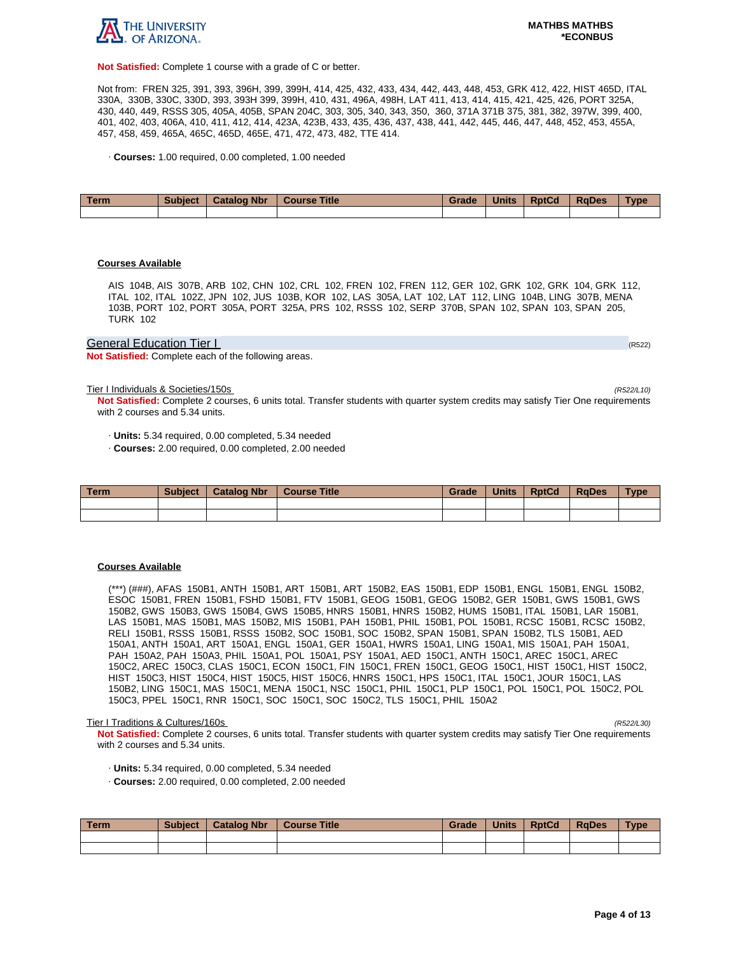

**Not Satisfied:** Complete 1 course with a grade of C or better.

Not from: FREN 325, 391, 393, 396H, 399, 399H, 414, 425, 432, 433, 434, 442, 443, 448, 453, GRK 412, 422, HIST 465D, ITAL 330A, 330B, 330C, 330D, 393, 393H 399, 399H, 410, 431, 496A, 498H, LAT 411, 413, 414, 415, 421, 425, 426, PORT 325A, 430, 440, 449, RSSS 305, 405A, 405B, SPAN 204C, 303, 305, 340, 343, 350, 360, 371A 371B 375, 381, 382, 397W, 399, 400, 401, 402, 403, 406A, 410, 411, 412, 414, 423A, 423B, 433, 435, 436, 437, 438, 441, 442, 445, 446, 447, 448, 452, 453, 455A, 457, 458, 459, 465A, 465C, 465D, 465E, 471, 472, 473, 482, TTE 414.

· **Courses:** 1.00 required, 0.00 completed, 1.00 needed

| Term | <b>Subject</b> | <b>Catalog Nbr</b> | <b>Course Title</b> | Grade | <b>Units</b> | <b>RptCd</b> | <b>RaDes</b> | Type |
|------|----------------|--------------------|---------------------|-------|--------------|--------------|--------------|------|
|      |                |                    |                     |       |              |              |              |      |

## **Courses Available**

AIS 104B, AIS 307B, ARB 102, CHN 102, CRL 102, FREN 102, FREN 112, GER 102, GRK 102, GRK 104, GRK 112, ITAL 102, ITAL 102Z, JPN 102, JUS 103B, KOR 102, LAS 305A, LAT 102, LAT 112, LING 104B, LING 307B, MENA 103B, PORT 102, PORT 305A, PORT 325A, PRS 102, RSSS 102, SERP 370B, SPAN 102, SPAN 103, SPAN 205, TURK 102

## General Education Tier I (RS22) And The Contract of the Contract of the Contract of the Contract of the Contract of the Contract of the Contract of the Contract of the Contract of the Contract of the Contract of the Contra

**Not Satisfied:** Complete each of the following areas.

Tier I Individuals & Societies/150s (R522/L10)

**Not Satisfied:** Complete 2 courses, 6 units total. Transfer students with quarter system credits may satisfy Tier One requirements with 2 courses and 5.34 units.

· **Units:** 5.34 required, 0.00 completed, 5.34 needed

· **Courses:** 2.00 required, 0.00 completed, 2.00 needed

| Term | <b>Subject</b> | <b>Catalog Nbr</b> | <b>Course Title</b> | Grade | <b>Units</b> | <b>RptCd</b> | <b>RaDes</b> | Type |
|------|----------------|--------------------|---------------------|-------|--------------|--------------|--------------|------|
|      |                |                    |                     |       |              |              |              |      |
|      |                |                    |                     |       |              |              |              |      |

#### **Courses Available**

(\*\*\*) (###), AFAS 150B1, ANTH 150B1, ART 150B1, ART 150B2, EAS 150B1, EDP 150B1, ENGL 150B1, ENGL 150B2, ESOC 150B1, FREN 150B1, FSHD 150B1, FTV 150B1, GEOG 150B1, GEOG 150B2, GER 150B1, GWS 150B1, GWS 150B2, GWS 150B3, GWS 150B4, GWS 150B5, HNRS 150B1, HNRS 150B2, HUMS 150B1, ITAL 150B1, LAR 150B1, LAS 150B1, MAS 150B1, MAS 150B2, MIS 150B1, PAH 150B1, PHIL 150B1, POL 150B1, RCSC 150B1, RCSC 150B2, RELI 150B1, RSSS 150B1, RSSS 150B2, SOC 150B1, SOC 150B2, SPAN 150B1, SPAN 150B2, TLS 150B1, AED 150A1, ANTH 150A1, ART 150A1, ENGL 150A1, GER 150A1, HWRS 150A1, LING 150A1, MIS 150A1, PAH 150A1, PAH 150A2, PAH 150A3, PHIL 150A1, POL 150A1, PSY 150A1, AED 150C1, ANTH 150C1, AREC 150C1, AREC 150C2, AREC 150C3, CLAS 150C1, ECON 150C1, FIN 150C1, FREN 150C1, GEOG 150C1, HIST 150C1, HIST 150C2, HIST 150C3, HIST 150C4, HIST 150C5, HIST 150C6, HNRS 150C1, HPS 150C1, ITAL 150C1, JOUR 150C1, LAS 150B2, LING 150C1, MAS 150C1, MENA 150C1, NSC 150C1, PHIL 150C1, PLP 150C1, POL 150C1, POL 150C2, POL 150C3, PPEL 150C1, RNR 150C1, SOC 150C1, SOC 150C2, TLS 150C1, PHIL 150A2

#### Tier I Traditions & Cultures/160s (R522/L30)

**Not Satisfied:** Complete 2 courses, 6 units total. Transfer students with quarter system credits may satisfy Tier One requirements with 2 courses and 5.34 units.

- · **Units:** 5.34 required, 0.00 completed, 5.34 needed
- · **Courses:** 2.00 required, 0.00 completed, 2.00 needed

| Term | <b>Subject</b> | Catalog Nbr   Course Title | Grade | <b>Units</b> | <b>RptCd</b> | RaDes | <b>Type</b> |
|------|----------------|----------------------------|-------|--------------|--------------|-------|-------------|
|      |                |                            |       |              |              |       |             |
|      |                |                            |       |              |              |       |             |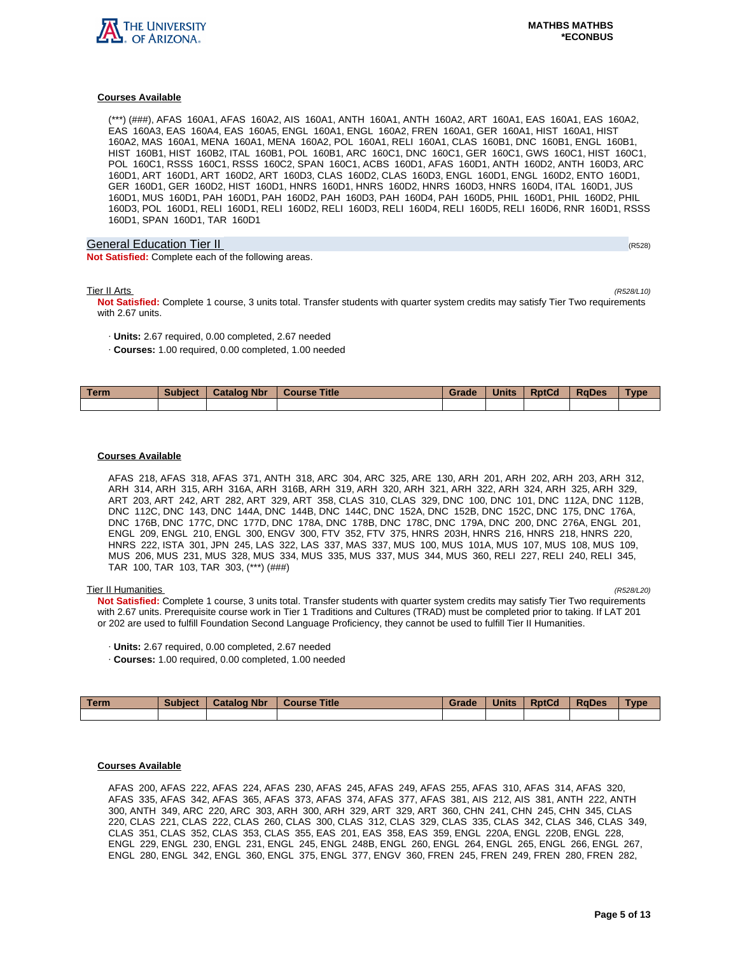

(\*\*\*) (###), AFAS 160A1, AFAS 160A2, AIS 160A1, ANTH 160A1, ANTH 160A2, ART 160A1, EAS 160A1, EAS 160A2, EAS 160A3, EAS 160A4, EAS 160A5, ENGL 160A1, ENGL 160A2, FREN 160A1, GER 160A1, HIST 160A1, HIST 160A2, MAS 160A1, MENA 160A1, MENA 160A2, POL 160A1, RELI 160A1, CLAS 160B1, DNC 160B1, ENGL 160B1, HIST 160B1, HIST 160B2, ITAL 160B1, POL 160B1, ARC 160C1, DNC 160C1, GER 160C1, GWS 160C1, HIST 160C1, POL 160C1, RSSS 160C1, RSSS 160C2, SPAN 160C1, ACBS 160D1, AFAS 160D1, ANTH 160D2, ANTH 160D3, ARC 160D1, ART 160D1, ART 160D2, ART 160D3, CLAS 160D2, CLAS 160D3, ENGL 160D1, ENGL 160D2, ENTO 160D1, GER 160D1, GER 160D2, HIST 160D1, HNRS 160D1, HNRS 160D2, HNRS 160D3, HNRS 160D4, ITAL 160D1, JUS 160D1, MUS 160D1, PAH 160D1, PAH 160D2, PAH 160D3, PAH 160D4, PAH 160D5, PHIL 160D1, PHIL 160D2, PHIL 160D3, POL 160D1, RELI 160D1, RELI 160D2, RELI 160D3, RELI 160D4, RELI 160D5, RELI 160D6, RNR 160D1, RSSS 160D1, SPAN 160D1, TAR 160D1

## General Education Tier II (R528) (R528) (R528) (R528) (R528) (R528) (R528) (R528)

**Not Satisfied:** Complete each of the following areas.

Tier II Arts (R528/L10)

**Not Satisfied:** Complete 1 course, 3 units total. Transfer students with quarter system credits may satisfy Tier Two requirements with 2.67 units.

- · **Units:** 2.67 required, 0.00 completed, 2.67 needed
- · **Courses:** 1.00 required, 0.00 completed, 1.00 needed

| <b>Term</b> | <b>Subject</b> | <b>Catalog Nbr</b> | <b>Title</b><br><b>Course</b> | Grade | <b>Units</b> | <b>RptCd</b> | <b>RaDes</b> | Type |
|-------------|----------------|--------------------|-------------------------------|-------|--------------|--------------|--------------|------|
|             |                |                    |                               |       |              |              |              |      |

## **Courses Available**

AFAS 218, AFAS 318, AFAS 371, ANTH 318, ARC 304, ARC 325, ARE 130, ARH 201, ARH 202, ARH 203, ARH 312, ARH 314, ARH 315, ARH 316A, ARH 316B, ARH 319, ARH 320, ARH 321, ARH 322, ARH 324, ARH 325, ARH 329, ART 203, ART 242, ART 282, ART 329, ART 358, CLAS 310, CLAS 329, DNC 100, DNC 101, DNC 112A, DNC 112B, DNC 112C, DNC 143, DNC 144A, DNC 144B, DNC 144C, DNC 152A, DNC 152B, DNC 152C, DNC 175, DNC 176A, DNC 176B, DNC 177C, DNC 177D, DNC 178A, DNC 178B, DNC 178C, DNC 179A, DNC 200, DNC 276A, ENGL 201, ENGL 209, ENGL 210, ENGL 300, ENGV 300, FTV 352, FTV 375, HNRS 203H, HNRS 216, HNRS 218, HNRS 220, HNRS 222, ISTA 301, JPN 245, LAS 322, LAS 337, MAS 337, MUS 100, MUS 101A, MUS 107, MUS 108, MUS 109, MUS 206, MUS 231, MUS 328, MUS 334, MUS 335, MUS 337, MUS 344, MUS 360, RELI 227, RELI 240, RELI 345, TAR 100, TAR 103, TAR 303, (\*\*\*) (###)

## Tier II Humanities (R528/L20)

**Not Satisfied:** Complete 1 course, 3 units total. Transfer students with quarter system credits may satisfy Tier Two requirements with 2.67 units. Prerequisite course work in Tier 1 Traditions and Cultures (TRAD) must be completed prior to taking. If LAT 201 or 202 are used to fulfill Foundation Second Language Proficiency, they cannot be used to fulfill Tier II Humanities.

- · **Units:** 2.67 required, 0.00 completed, 2.67 needed
- · **Courses:** 1.00 required, 0.00 completed, 1.00 needed

| Term | <b>Subject</b> | <b>Catalog Nbr</b> | <b>Course Title</b> | Grade | <b>Units</b> | <b>RptCd</b> | RaDes | <b>Type</b> |
|------|----------------|--------------------|---------------------|-------|--------------|--------------|-------|-------------|
|      |                |                    |                     |       |              |              |       |             |

## **Courses Available**

AFAS 200, AFAS 222, AFAS 224, AFAS 230, AFAS 245, AFAS 249, AFAS 255, AFAS 310, AFAS 314, AFAS 320, AFAS 335, AFAS 342, AFAS 365, AFAS 373, AFAS 374, AFAS 377, AFAS 381, AIS 212, AIS 381, ANTH 222, ANTH 300, ANTH 349, ARC 220, ARC 303, ARH 300, ARH 329, ART 329, ART 360, CHN 241, CHN 245, CHN 345, CLAS 220, CLAS 221, CLAS 222, CLAS 260, CLAS 300, CLAS 312, CLAS 329, CLAS 335, CLAS 342, CLAS 346, CLAS 349, CLAS 351, CLAS 352, CLAS 353, CLAS 355, EAS 201, EAS 358, EAS 359, ENGL 220A, ENGL 220B, ENGL 228, ENGL 229, ENGL 230, ENGL 231, ENGL 245, ENGL 248B, ENGL 260, ENGL 264, ENGL 265, ENGL 266, ENGL 267, ENGL 280, ENGL 342, ENGL 360, ENGL 375, ENGL 377, ENGV 360, FREN 245, FREN 249, FREN 280, FREN 282,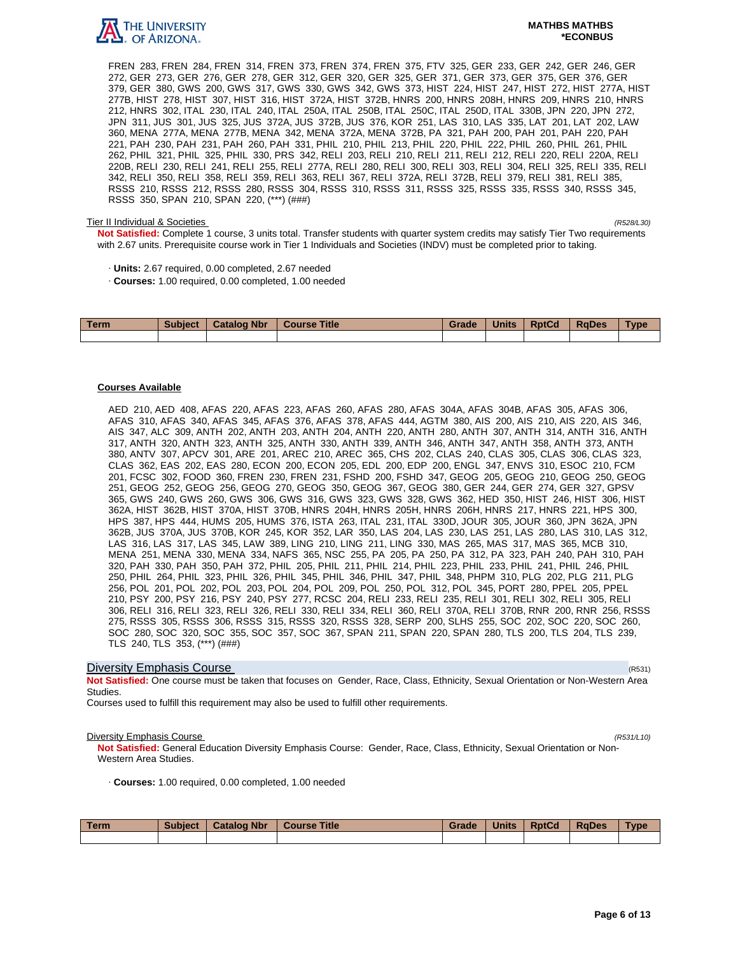

## **MATHBS MATHBS \*ECONBUS**

FREN 283, FREN 284, FREN 314, FREN 373, FREN 374, FREN 375, FTV 325, GER 233, GER 242, GER 246, GER 272, GER 273, GER 276, GER 278, GER 312, GER 320, GER 325, GER 371, GER 373, GER 375, GER 376, GER 379, GER 380, GWS 200, GWS 317, GWS 330, GWS 342, GWS 373, HIST 224, HIST 247, HIST 272, HIST 277A, HIST 277B, HIST 278, HIST 307, HIST 316, HIST 372A, HIST 372B, HNRS 200, HNRS 208H, HNRS 209, HNRS 210, HNRS 212, HNRS 302, ITAL 230, ITAL 240, ITAL 250A, ITAL 250B, ITAL 250C, ITAL 250D, ITAL 330B, JPN 220, JPN 272, JPN 311, JUS 301, JUS 325, JUS 372A, JUS 372B, JUS 376, KOR 251, LAS 310, LAS 335, LAT 201, LAT 202, LAW 360, MENA 277A, MENA 277B, MENA 342, MENA 372A, MENA 372B, PA 321, PAH 200, PAH 201, PAH 220, PAH 221, PAH 230, PAH 231, PAH 260, PAH 331, PHIL 210, PHIL 213, PHIL 220, PHIL 222, PHIL 260, PHIL 261, PHIL 262, PHIL 321, PHIL 325, PHIL 330, PRS 342, RELI 203, RELI 210, RELI 211, RELI 212, RELI 220, RELI 220A, RELI 220B, RELI 230, RELI 241, RELI 255, RELI 277A, RELI 280, RELI 300, RELI 303, RELI 304, RELI 325, RELI 335, RELI 342, RELI 350, RELI 358, RELI 359, RELI 363, RELI 367, RELI 372A, RELI 372B, RELI 379, RELI 381, RELI 385, RSSS 210, RSSS 212, RSSS 280, RSSS 304, RSSS 310, RSSS 311, RSSS 325, RSSS 335, RSSS 340, RSSS 345, RSSS 350, SPAN 210, SPAN 220, (\*\*\*) (###)

## Tier II Individual & Societies (R528/L30)

**Not Satisfied:** Complete 1 course, 3 units total. Transfer students with quarter system credits may satisfy Tier Two requirements with 2.67 units. Prerequisite course work in Tier 1 Individuals and Societies (INDV) must be completed prior to taking.

- · **Units:** 2.67 required, 0.00 completed, 2.67 needed
- · **Courses:** 1.00 required, 0.00 completed, 1.00 needed

| <b>Term</b> | <b>Subject</b> | <b>Catalog Nbr</b> | <b>Course Title</b> | Grade | <b>Units</b> | <b>RptCd</b> | <b>RaDes</b> | Type |
|-------------|----------------|--------------------|---------------------|-------|--------------|--------------|--------------|------|
|             |                |                    |                     |       |              |              |              |      |

## **Courses Available**

AED 210, AED 408, AFAS 220, AFAS 223, AFAS 260, AFAS 280, AFAS 304A, AFAS 304B, AFAS 305, AFAS 306, AFAS 310, AFAS 340, AFAS 345, AFAS 376, AFAS 378, AFAS 444, AGTM 380, AIS 200, AIS 210, AIS 220, AIS 346, AIS 347, ALC 309, ANTH 202, ANTH 203, ANTH 204, ANTH 220, ANTH 280, ANTH 307, ANTH 314, ANTH 316, ANTH 317, ANTH 320, ANTH 323, ANTH 325, ANTH 330, ANTH 339, ANTH 346, ANTH 347, ANTH 358, ANTH 373, ANTH 380, ANTV 307, APCV 301, ARE 201, AREC 210, AREC 365, CHS 202, CLAS 240, CLAS 305, CLAS 306, CLAS 323, CLAS 362, EAS 202, EAS 280, ECON 200, ECON 205, EDL 200, EDP 200, ENGL 347, ENVS 310, ESOC 210, FCM 201, FCSC 302, FOOD 360, FREN 230, FREN 231, FSHD 200, FSHD 347, GEOG 205, GEOG 210, GEOG 250, GEOG 251, GEOG 252, GEOG 256, GEOG 270, GEOG 350, GEOG 367, GEOG 380, GER 244, GER 274, GER 327, GPSV 365, GWS 240, GWS 260, GWS 306, GWS 316, GWS 323, GWS 328, GWS 362, HED 350, HIST 246, HIST 306, HIST 362A, HIST 362B, HIST 370A, HIST 370B, HNRS 204H, HNRS 205H, HNRS 206H, HNRS 217, HNRS 221, HPS 300, HPS 387, HPS 444, HUMS 205, HUMS 376, ISTA 263, ITAL 231, ITAL 330D, JOUR 305, JOUR 360, JPN 362A, JPN 362B, JUS 370A, JUS 370B, KOR 245, KOR 352, LAR 350, LAS 204, LAS 230, LAS 251, LAS 280, LAS 310, LAS 312, LAS 316, LAS 317, LAS 345, LAW 389, LING 210, LING 211, LING 330, MAS 265, MAS 317, MAS 365, MCB 310, MENA 251, MENA 330, MENA 334, NAFS 365, NSC 255, PA 205, PA 250, PA 312, PA 323, PAH 240, PAH 310, PAH 320, PAH 330, PAH 350, PAH 372, PHIL 205, PHIL 211, PHIL 214, PHIL 223, PHIL 233, PHIL 241, PHIL 246, PHIL 250, PHIL 264, PHIL 323, PHIL 326, PHIL 345, PHIL 346, PHIL 347, PHIL 348, PHPM 310, PLG 202, PLG 211, PLG 256, POL 201, POL 202, POL 203, POL 204, POL 209, POL 250, POL 312, POL 345, PORT 280, PPEL 205, PPEL 210, PSY 200, PSY 216, PSY 240, PSY 277, RCSC 204, RELI 233, RELI 235, RELI 301, RELI 302, RELI 305, RELI 306, RELI 316, RELI 323, RELI 326, RELI 330, RELI 334, RELI 360, RELI 370A, RELI 370B, RNR 200, RNR 256, RSSS 275, RSSS 305, RSSS 306, RSSS 315, RSSS 320, RSSS 328, SERP 200, SLHS 255, SOC 202, SOC 220, SOC 260, SOC 280, SOC 320, SOC 355, SOC 357, SOC 367, SPAN 211, SPAN 220, SPAN 280, TLS 200, TLS 204, TLS 239, TLS 240, TLS 353, (\*\*\*) (###)

## **Diversity Emphasis Course** (R531) **Diversity Emphasis Course**

**Not Satisfied:** One course must be taken that focuses on Gender, Race, Class, Ethnicity, Sexual Orientation or Non-Western Area Studies.

Courses used to fulfill this requirement may also be used to fulfill other requirements.

## **Diversity Emphasis Course** (R531/L10)

**Not Satisfied:** General Education Diversity Emphasis Course: Gender, Race, Class, Ethnicity, Sexual Orientation or Non-Western Area Studies.

· **Courses:** 1.00 required, 0.00 completed, 1.00 needed

| Term | <b>Subject</b> | <b>Catalog Nbr</b> | Course Title | Grade | <b>Units</b> | <b>RptCd</b> | <b>RaDes</b> | <b>Type</b> |
|------|----------------|--------------------|--------------|-------|--------------|--------------|--------------|-------------|
|      |                |                    |              |       |              |              |              |             |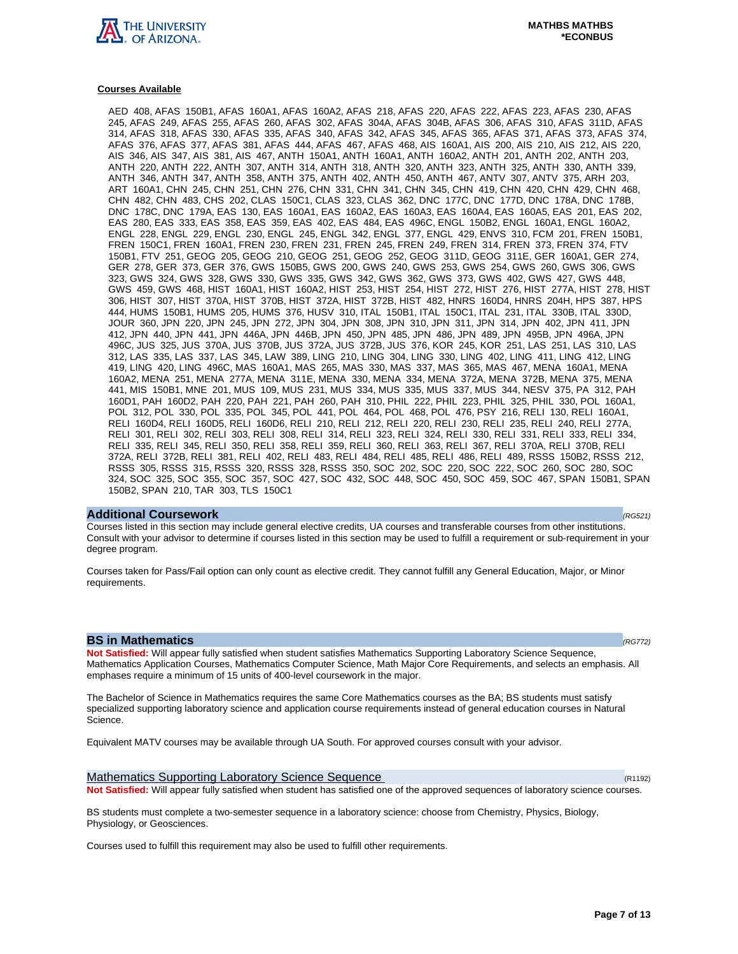

AED 408, AFAS 150B1, AFAS 160A1, AFAS 160A2, AFAS 218, AFAS 220, AFAS 222, AFAS 223, AFAS 230, AFAS 245, AFAS 249, AFAS 255, AFAS 260, AFAS 302, AFAS 304A, AFAS 304B, AFAS 306, AFAS 310, AFAS 311D, AFAS 314, AFAS 318, AFAS 330, AFAS 335, AFAS 340, AFAS 342, AFAS 345, AFAS 365, AFAS 371, AFAS 373, AFAS 374, AFAS 376, AFAS 377, AFAS 381, AFAS 444, AFAS 467, AFAS 468, AIS 160A1, AIS 200, AIS 210, AIS 212, AIS 220, AIS 346, AIS 347, AIS 381, AIS 467, ANTH 150A1, ANTH 160A1, ANTH 160A2, ANTH 201, ANTH 202, ANTH 203, ANTH 220, ANTH 222, ANTH 307, ANTH 314, ANTH 318, ANTH 320, ANTH 323, ANTH 325, ANTH 330, ANTH 339, ANTH 346, ANTH 347, ANTH 358, ANTH 375, ANTH 402, ANTH 450, ANTH 467, ANTV 307, ANTV 375, ARH 203, ART 160A1, CHN 245, CHN 251, CHN 276, CHN 331, CHN 341, CHN 345, CHN 419, CHN 420, CHN 429, CHN 468, CHN 482, CHN 483, CHS 202, CLAS 150C1, CLAS 323, CLAS 362, DNC 177C, DNC 177D, DNC 178A, DNC 178B, DNC 178C, DNC 179A, EAS 130, EAS 160A1, EAS 160A2, EAS 160A3, EAS 160A4, EAS 160A5, EAS 201, EAS 202, EAS 280, EAS 333, EAS 358, EAS 359, EAS 402, EAS 484, EAS 496C, ENGL 150B2, ENGL 160A1, ENGL 160A2, ENGL 228, ENGL 229, ENGL 230, ENGL 245, ENGL 342, ENGL 377, ENGL 429, ENVS 310, FCM 201, FREN 150B1, FREN 150C1, FREN 160A1, FREN 230, FREN 231, FREN 245, FREN 249, FREN 314, FREN 373, FREN 374, FTV 150B1, FTV 251, GEOG 205, GEOG 210, GEOG 251, GEOG 252, GEOG 311D, GEOG 311E, GER 160A1, GER 274, GER 278, GER 373, GER 376, GWS 150B5, GWS 200, GWS 240, GWS 253, GWS 254, GWS 260, GWS 306, GWS 323, GWS 324, GWS 328, GWS 330, GWS 335, GWS 342, GWS 362, GWS 373, GWS 402, GWS 427, GWS 448, GWS 459, GWS 468, HIST 160A1, HIST 160A2, HIST 253, HIST 254, HIST 272, HIST 276, HIST 277A, HIST 278, HIST 306, HIST 307, HIST 370A, HIST 370B, HIST 372A, HIST 372B, HIST 482, HNRS 160D4, HNRS 204H, HPS 387, HPS 444, HUMS 150B1, HUMS 205, HUMS 376, HUSV 310, ITAL 150B1, ITAL 150C1, ITAL 231, ITAL 330B, ITAL 330D, JOUR 360, JPN 220, JPN 245, JPN 272, JPN 304, JPN 308, JPN 310, JPN 311, JPN 314, JPN 402, JPN 411, JPN 412, JPN 440, JPN 441, JPN 446A, JPN 446B, JPN 450, JPN 485, JPN 486, JPN 489, JPN 495B, JPN 496A, JPN 496C, JUS 325, JUS 370A, JUS 370B, JUS 372A, JUS 372B, JUS 376, KOR 245, KOR 251, LAS 251, LAS 310, LAS 312, LAS 335, LAS 337, LAS 345, LAW 389, LING 210, LING 304, LING 330, LING 402, LING 411, LING 412, LING 419, LING 420, LING 496C, MAS 160A1, MAS 265, MAS 330, MAS 337, MAS 365, MAS 467, MENA 160A1, MENA 160A2, MENA 251, MENA 277A, MENA 311E, MENA 330, MENA 334, MENA 372A, MENA 372B, MENA 375, MENA 441, MIS 150B1, MNE 201, MUS 109, MUS 231, MUS 334, MUS 335, MUS 337, MUS 344, NESV 375, PA 312, PAH 160D1, PAH 160D2, PAH 220, PAH 221, PAH 260, PAH 310, PHIL 222, PHIL 223, PHIL 325, PHIL 330, POL 160A1, POL 312, POL 330, POL 335, POL 345, POL 441, POL 464, POL 468, POL 476, PSY 216, RELI 130, RELI 160A1, RELI 160D4, RELI 160D5, RELI 160D6, RELI 210, RELI 212, RELI 220, RELI 230, RELI 235, RELI 240, RELI 277A, RELI 301, RELI 302, RELI 303, RELI 308, RELI 314, RELI 323, RELI 324, RELI 330, RELI 331, RELI 333, RELI 334, RELI 335, RELI 345, RELI 350, RELI 358, RELI 359, RELI 360, RELI 363, RELI 367, RELI 370A, RELI 370B, RELI 372A, RELI 372B, RELI 381, RELI 402, RELI 483, RELI 484, RELI 485, RELI 486, RELI 489, RSSS 150B2, RSSS 212, RSSS 305, RSSS 315, RSSS 320, RSSS 328, RSSS 350, SOC 202, SOC 220, SOC 222, SOC 260, SOC 280, SOC 324, SOC 325, SOC 355, SOC 357, SOC 427, SOC 432, SOC 448, SOC 450, SOC 459, SOC 467, SPAN 150B1, SPAN 150B2, SPAN 210, TAR 303, TLS 150C1

#### **Additional Coursework** (RG521)

Courses listed in this section may include general elective credits, UA courses and transferable courses from other institutions. Consult with your advisor to determine if courses listed in this section may be used to fulfill a requirement or sub-requirement in your degree program.

Courses taken for Pass/Fail option can only count as elective credit. They cannot fulfill any General Education, Major, or Minor requirements.

## **BS in Mathematics (RG772)**

**Not Satisfied:** Will appear fully satisfied when student satisfies Mathematics Supporting Laboratory Science Sequence, Mathematics Application Courses, Mathematics Computer Science, Math Major Core Requirements, and selects an emphasis. All emphases require a minimum of 15 units of 400-level coursework in the major.

The Bachelor of Science in Mathematics requires the same Core Mathematics courses as the BA; BS students must satisfy specialized supporting laboratory science and application course requirements instead of general education courses in Natural Science.

Equivalent MATV courses may be available through UA South. For approved courses consult with your advisor.

Mathematics Supporting Laboratory Science Sequence (R1192) (R1192) **Not Satisfied:** Will appear fully satisfied when student has satisfied one of the approved sequences of laboratory science courses.

BS students must complete a two-semester sequence in a laboratory science: choose from Chemistry, Physics, Biology, Physiology, or Geosciences.

Courses used to fulfill this requirement may also be used to fulfill other requirements.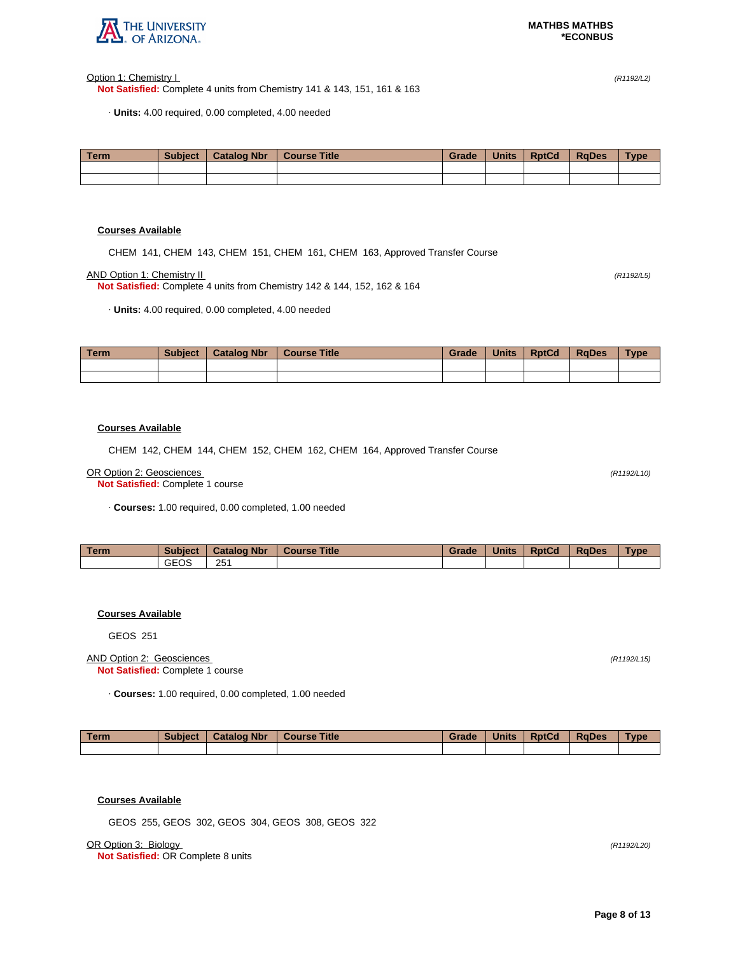

Option 1: Chemistry I (R1192/L2)

**Not Satisfied:** Complete 4 units from Chemistry 141 & 143, 151, 161 & 163

· **Units:** 4.00 required, 0.00 completed, 4.00 needed

| Term. | <b>Subject</b> | <b>Catalog Nbr</b> | <b>Course Title</b> | Grade | <b>Units</b> | <b>RptCd</b> | <b>RaDes</b> | <b>Type</b> |
|-------|----------------|--------------------|---------------------|-------|--------------|--------------|--------------|-------------|
|       |                |                    |                     |       |              |              |              |             |
|       |                |                    |                     |       |              |              |              |             |

## **Courses Available**

CHEM 141, CHEM 143, CHEM 151, CHEM 161, CHEM 163, Approved Transfer Course

AND Option 1: Chemistry II (R1192/L5)

**Not Satisfied:** Complete 4 units from Chemistry 142 & 144, 152, 162 & 164

· **Units:** 4.00 required, 0.00 completed, 4.00 needed

| Term | <b>Subject</b> | <b>Catalog Nbr</b> | <b>Course Title</b> | Grade | <b>Units</b> | <b>RptCd</b> | <b>RaDes</b> | <b>Type</b> |
|------|----------------|--------------------|---------------------|-------|--------------|--------------|--------------|-------------|
|      |                |                    |                     |       |              |              |              |             |
|      |                |                    |                     |       |              |              |              |             |

## **Courses Available**

CHEM 142, CHEM 144, CHEM 152, CHEM 162, CHEM 164, Approved Transfer Course

#### OR Option 2: Geosciences (R1192/L10)

**Not Satisfied:** Complete 1 course

· **Courses:** 1.00 required, 0.00 completed, 1.00 needed

| Term | <b>Subject</b> | <b>Catalog Nbr</b> | <b>Title</b><br><b>Course</b> | Grade | <b>Units</b> | <b>RptCd</b> | <b>RaDes</b> | Type |
|------|----------------|--------------------|-------------------------------|-------|--------------|--------------|--------------|------|
|      | GEOS           | 251                |                               |       |              |              |              |      |

## **Courses Available**

GEOS 251

## AND Option 2: Geosciences (R1192/L15) **Not Satisfied:** Complete 1 course

· **Courses:** 1.00 required, 0.00 completed, 1.00 needed

| Term | <b>Subject</b> | <b>Catalog Nbr</b> | <b>Course Title</b> | Grade | <b>Units</b> | <b>RptCd</b> | <b>RaDes</b> | Type |
|------|----------------|--------------------|---------------------|-------|--------------|--------------|--------------|------|
|      |                |                    |                     |       |              |              |              |      |

# **Courses Available**

GEOS 255, GEOS 302, GEOS 304, GEOS 308, GEOS 322

OR Option 3: Biology (R1192/L20)

**Not Satisfied:** OR Complete 8 units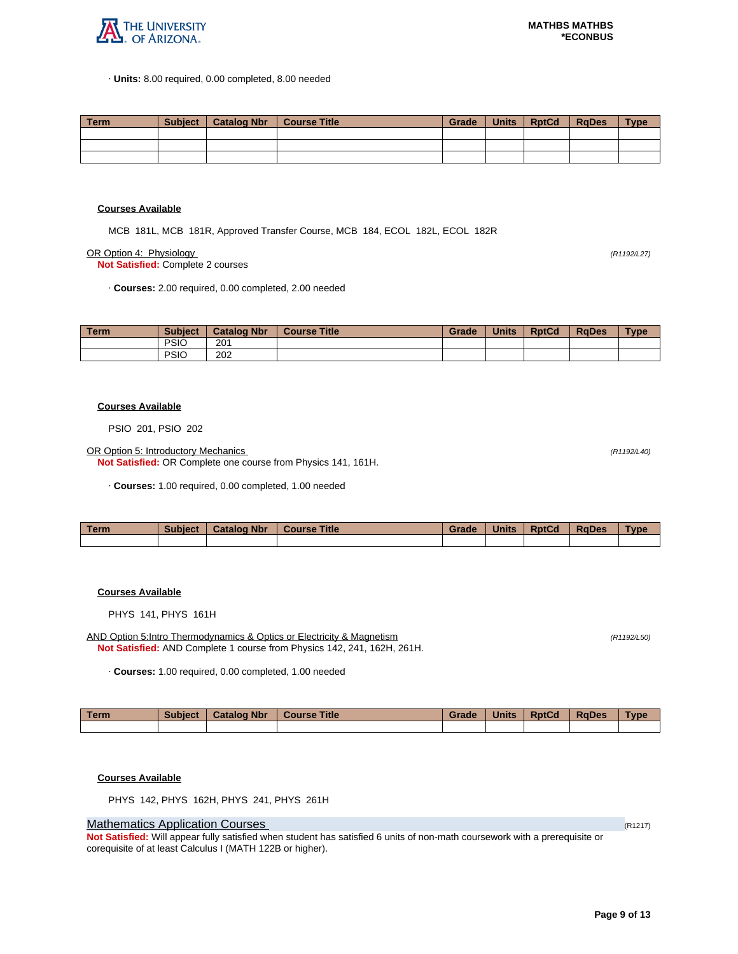

· **Units:** 8.00 required, 0.00 completed, 8.00 needed

| Term | Subiect | Catalog Nbr | Course Title | Grade | Units | <b>RptCd</b> | RaDes | <b>Type</b> |
|------|---------|-------------|--------------|-------|-------|--------------|-------|-------------|
|      |         |             |              |       |       |              |       |             |
|      |         |             |              |       |       |              |       |             |
|      |         |             |              |       |       |              |       |             |

#### **Courses Available**

MCB 181L, MCB 181R, Approved Transfer Course, MCB 184, ECOL 182L, ECOL 182R

OR Option 4: Physiology (R1192/L27)

**Not Satisfied:** Complete 2 courses

· **Courses:** 2.00 required, 0.00 completed, 2.00 needed

| <b>Term</b> | <b>Subject</b> | <b>Catalog Nbr</b> | <b>Course Title</b> | Grade | <b>Units</b> | <b>RptCd</b> | <b>RaDes</b> | <b>Type</b> |
|-------------|----------------|--------------------|---------------------|-------|--------------|--------------|--------------|-------------|
|             | <b>PSIO</b>    | 201                |                     |       |              |              |              |             |
|             | <b>PSIC</b>    | 202                |                     |       |              |              |              |             |

#### **Courses Available**

PSIO 201, PSIO 202

OR Option 5: Introductory Mechanics (R1192/L40)

**Not Satisfied:** OR Complete one course from Physics 141, 161H.

· **Courses:** 1.00 required, 0.00 completed, 1.00 needed

| <b>Term</b> | Subject | <b>Catalog Nbr</b> | <b>Course Title</b> | Grade | <b>Units</b> | <b>RptCd</b> | <b>RaDes</b> | Type |
|-------------|---------|--------------------|---------------------|-------|--------------|--------------|--------------|------|
|             |         |                    |                     |       |              |              |              |      |

## **Courses Available**

PHYS 141, PHYS 161H

AND Option 5:Intro Thermodynamics & Optics or Electricity & Magnetism (R1192/L50) (R1192/L50) **Not Satisfied:** AND Complete 1 course from Physics 142, 241, 162H, 261H.

· **Courses:** 1.00 required, 0.00 completed, 1.00 needed

| Term | <b>Subject</b> | <b>Catalog Nbr</b> | Course Title | Grade | <b>Units</b> | <b>RptCd</b> | <b>RaDes</b> | <b>Type</b> |
|------|----------------|--------------------|--------------|-------|--------------|--------------|--------------|-------------|
|      |                |                    |              |       |              |              |              |             |

**Courses Available**

PHYS 142, PHYS 162H, PHYS 241, PHYS 261H

## **Mathematics Application Courses (R1217)** (R1217)

**Not Satisfied:** Will appear fully satisfied when student has satisfied 6 units of non-math coursework with a prerequisite or corequisite of at least Calculus I (MATH 122B or higher).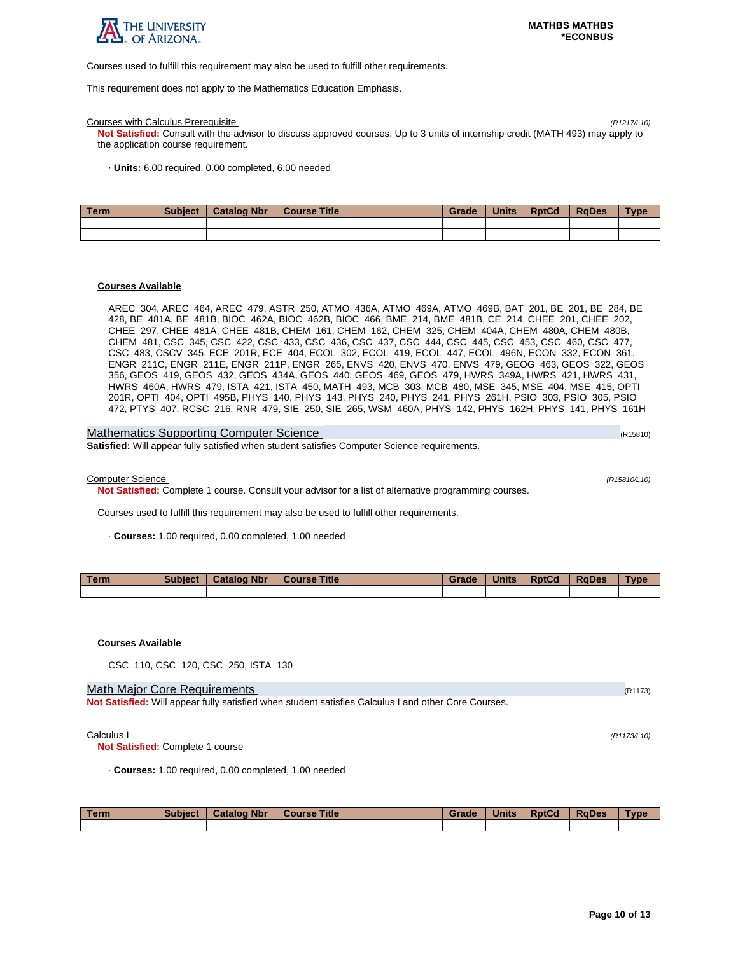

Courses used to fulfill this requirement may also be used to fulfill other requirements.

This requirement does not apply to the Mathematics Education Emphasis.

#### Courses with Calculus Prerequisite (R1217/L10)

**Not Satisfied:** Consult with the advisor to discuss approved courses. Up to 3 units of internship credit (MATH 493) may apply to the application course requirement.

· **Units:** 6.00 required, 0.00 completed, 6.00 needed

| l Term | <b>Subject</b> | <b>Catalog Nbr</b> | Course Title | Grade | <b>Units</b> | <b>RptCd</b> | <b>RaDes</b> | <b>Type</b> |
|--------|----------------|--------------------|--------------|-------|--------------|--------------|--------------|-------------|
|        |                |                    |              |       |              |              |              |             |
|        |                |                    |              |       |              |              |              |             |

#### **Courses Available**

AREC 304, AREC 464, AREC 479, ASTR 250, ATMO 436A, ATMO 469A, ATMO 469B, BAT 201, BE 201, BE 284, BE 428, BE 481A, BE 481B, BIOC 462A, BIOC 462B, BIOC 466, BME 214, BME 481B, CE 214, CHEE 201, CHEE 202, CHEE 297, CHEE 481A, CHEE 481B, CHEM 161, CHEM 162, CHEM 325, CHEM 404A, CHEM 480A, CHEM 480B, CHEM 481, CSC 345, CSC 422, CSC 433, CSC 436, CSC 437, CSC 444, CSC 445, CSC 453, CSC 460, CSC 477, CSC 483, CSCV 345, ECE 201R, ECE 404, ECOL 302, ECOL 419, ECOL 447, ECOL 496N, ECON 332, ECON 361, ENGR 211C, ENGR 211E, ENGR 211P, ENGR 265, ENVS 420, ENVS 470, ENVS 479, GEOG 463, GEOS 322, GEOS 356, GEOS 419, GEOS 432, GEOS 434A, GEOS 440, GEOS 469, GEOS 479, HWRS 349A, HWRS 421, HWRS 431, HWRS 460A, HWRS 479, ISTA 421, ISTA 450, MATH 493, MCB 303, MCB 480, MSE 345, MSE 404, MSE 415, OPTI 201R, OPTI 404, OPTI 495B, PHYS 140, PHYS 143, PHYS 240, PHYS 241, PHYS 261H, PSIO 303, PSIO 305, PSIO 472, PTYS 407, RCSC 216, RNR 479, SIE 250, SIE 265, WSM 460A, PHYS 142, PHYS 162H, PHYS 141, PHYS 161H

| <b>Mathematics Supporting Computer Science</b>                                                      | (R15810) |
|-----------------------------------------------------------------------------------------------------|----------|
| <b>Satisfied:</b> Will appear fully satisfied when student satisfies Computer Science requirements. |          |

Computer Science (R15810/L10)

**Not Satisfied:** Complete 1 course. Consult your advisor for a list of alternative programming courses.

Courses used to fulfill this requirement may also be used to fulfill other requirements.

· **Courses:** 1.00 required, 0.00 completed, 1.00 needed

| <b>Term</b> | Subject | <b>Catalog Nbr</b> | <b>Course Title</b> | Grade | <b>Units</b> | <b>RptCd</b> | <b>RaDes</b> | <b>Type</b> |
|-------------|---------|--------------------|---------------------|-------|--------------|--------------|--------------|-------------|
|             |         |                    |                     |       |              |              |              |             |

### **Courses Available**

CSC 110, CSC 120, CSC 250, ISTA 130

#### Math Major Core Requirements (R1173) (R1173)

**Not Satisfied:** Will appear fully satisfied when student satisfies Calculus I and other Core Courses.

#### Calculus I (R1173/L10)

**Not Satisfied:** Complete 1 course

· **Courses:** 1.00 required, 0.00 completed, 1.00 needed

| <b>Term</b> | <b>Subject</b> | <b>Catalog Nbr</b> | <b>Course Title</b> | Grade | <b>Units</b> | <b>RptCd</b> | <b>RaDes</b> | <b>Type</b> |
|-------------|----------------|--------------------|---------------------|-------|--------------|--------------|--------------|-------------|
|             |                |                    |                     |       |              |              |              |             |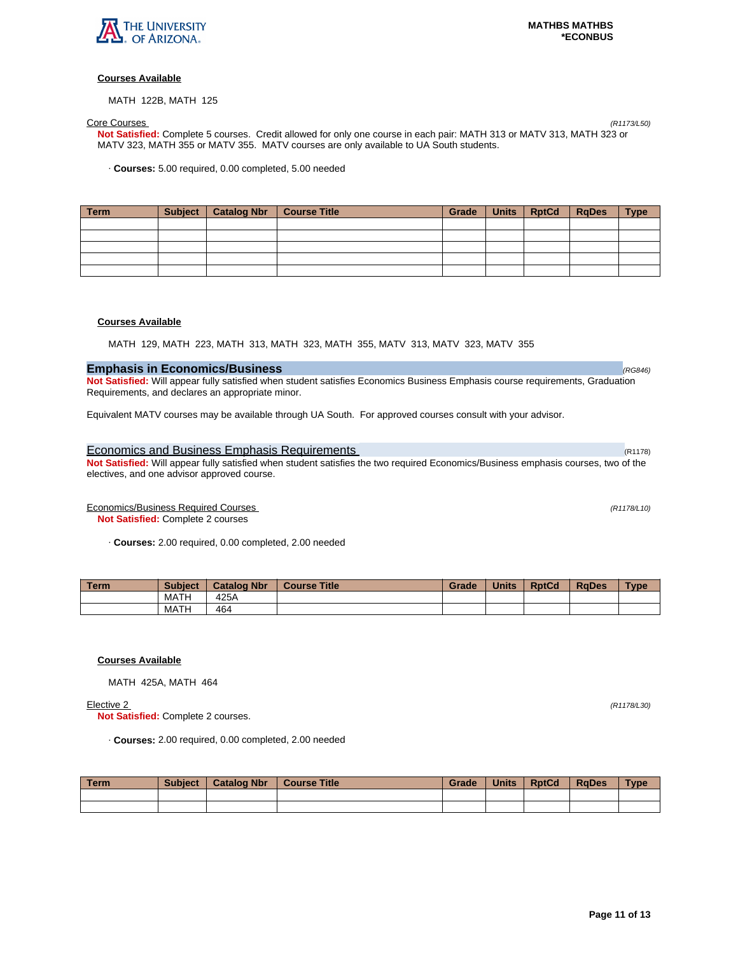

MATH 122B, MATH 125

Core Courses (R1173/L50) **Not Satisfied:** Complete 5 courses. Credit allowed for only one course in each pair: MATH 313 or MATV 313, MATH 323 or MATV 323, MATH 355 or MATV 355. MATV courses are only available to UA South students.

· **Courses:** 5.00 required, 0.00 completed, 5.00 needed

| Term | Subject   Catalog Nbr | Course Title | Grade | Units RptCd | <b>RgDes</b> | <b>Type</b> |
|------|-----------------------|--------------|-------|-------------|--------------|-------------|
|      |                       |              |       |             |              |             |
|      |                       |              |       |             |              |             |
|      |                       |              |       |             |              |             |
|      |                       |              |       |             |              |             |
|      |                       |              |       |             |              |             |

## **Courses Available**

MATH 129, MATH 223, MATH 313, MATH 323, MATH 355, MATV 313, MATV 323, MATV 355

# **Emphasis in Economics/Business Constanting Constanting Constanting Constanting Constanting Constanting Constanting Constanting Constanting Constanting Constanting Constanting Constanting Constanting Constanting Constant**

**Not Satisfied:** Will appear fully satisfied when student satisfies Economics Business Emphasis course requirements, Graduation Requirements, and declares an appropriate minor.

Equivalent MATV courses may be available through UA South. For approved courses consult with your advisor.

## Economics and Business Emphasis Requirements (R1178) and R1178) (R1178)

**Not Satisfied:** Will appear fully satisfied when student satisfies the two required Economics/Business emphasis courses, two of the electives, and one advisor approved course.

Economics/Business Required Courses (R1178/L10)

**Not Satisfied:** Complete 2 courses

· **Courses:** 2.00 required, 0.00 completed, 2.00 needed

| Term. | <b>Subject</b> | <b>Catalog Nbr</b> | <b>Course Title</b> | Grade | <b>Units</b> | <b>RptCd</b> | <b>RaDes</b> | Type |
|-------|----------------|--------------------|---------------------|-------|--------------|--------------|--------------|------|
|       | MATH           | 425A               |                     |       |              |              |              |      |
|       | MATH           | 464                |                     |       |              |              |              |      |

## **Courses Available**

MATH 425A, MATH 464

**Not Satisfied:** Complete 2 courses.

· **Courses:** 2.00 required, 0.00 completed, 2.00 needed

| Term | <b>Subject</b> | <b>Catalog Nbr</b> | <b>Course Title</b> | Grade | <b>Units</b> | <b>RptCd</b> | <b>RaDes</b> | <b>Type</b> |
|------|----------------|--------------------|---------------------|-------|--------------|--------------|--------------|-------------|
|      |                |                    |                     |       |              |              |              |             |
|      |                |                    |                     |       |              |              |              |             |

Elective 2 (R1178/L30)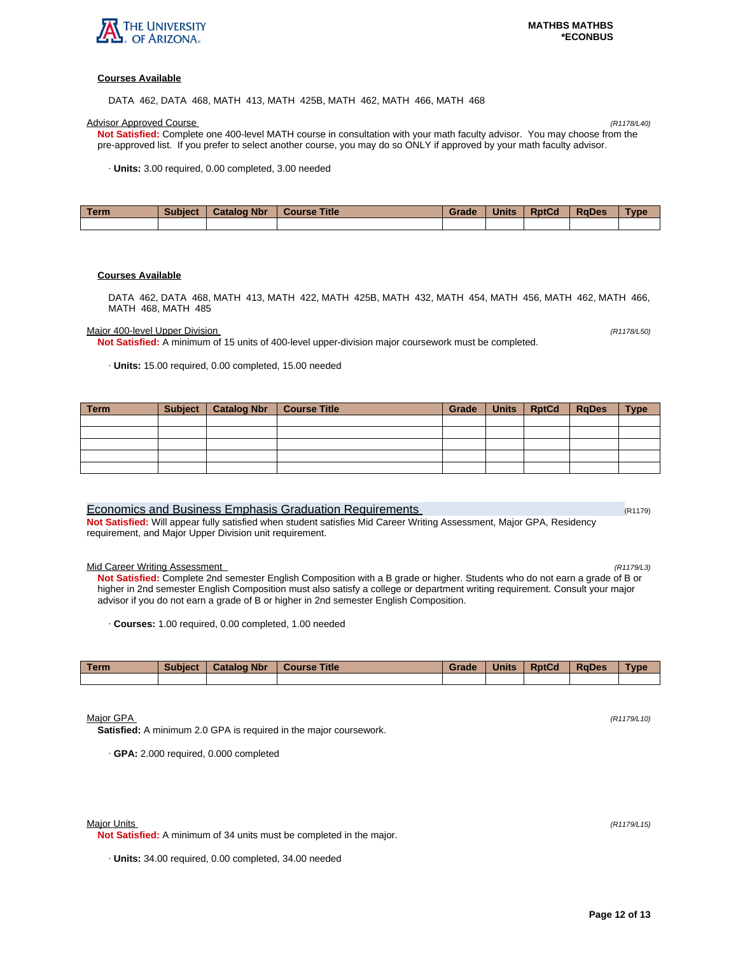

DATA 462, DATA 468, MATH 413, MATH 425B, MATH 462, MATH 466, MATH 468

#### Advisor Approved Course (R1178/L40)

**Not Satisfied:** Complete one 400-level MATH course in consultation with your math faculty advisor. You may choose from the pre-approved list. If you prefer to select another course, you may do so ONLY if approved by your math faculty advisor.

· **Units:** 3.00 required, 0.00 completed, 3.00 needed

| Term. | <b>Subject</b> | <b>Catalog Nbr</b> | <b>Course Title</b> | Grade | <b>Units</b> | <b>RptCd</b> | <b>RaDes</b> | Type |
|-------|----------------|--------------------|---------------------|-------|--------------|--------------|--------------|------|
|       |                |                    |                     |       |              |              |              |      |

## **Courses Available**

DATA 462, DATA 468, MATH 413, MATH 422, MATH 425B, MATH 432, MATH 454, MATH 456, MATH 462, MATH 466, MATH 468, MATH 485

Major 400-level Upper Division (R1178/L50)

**Not Satisfied:** A minimum of 15 units of 400-level upper-division major coursework must be completed.

· **Units:** 15.00 required, 0.00 completed, 15.00 needed

| <b>Term</b> | Subject   Catalog Nbr | Course Title | Grade | <b>Units</b> | <b>RptCd</b> | <b>RgDes</b> | <b>Type</b> |
|-------------|-----------------------|--------------|-------|--------------|--------------|--------------|-------------|
|             |                       |              |       |              |              |              |             |
|             |                       |              |       |              |              |              |             |
|             |                       |              |       |              |              |              |             |
|             |                       |              |       |              |              |              |             |
|             |                       |              |       |              |              |              |             |

| Economics and Business Emphasis Graduation Requirements                                                               | (R1179) |
|-----------------------------------------------------------------------------------------------------------------------|---------|
| Not Satisfied: Will appear fully satisfied when student satisfies Mid Career Writing Assessment, Major GPA, Residency |         |
| requirement, and Major Upper Division unit requirement.                                                               |         |

#### Mid Career Writing Assessment (R1179/L3)

**Not Satisfied:** Complete 2nd semester English Composition with a B grade or higher. Students who do not earn a grade of B or higher in 2nd semester English Composition must also satisfy a college or department writing requirement. Consult your major advisor if you do not earn a grade of B or higher in 2nd semester English Composition.

· **Courses:** 1.00 required, 0.00 completed, 1.00 needed

| <b>Term</b> | <b>Subject</b> | <b>Catalog Nbr</b> | <b>Course Title</b> | Grade | <b>Units</b> | <b>RptCd</b> | <b>RaDes</b> | <b>Type</b> |
|-------------|----------------|--------------------|---------------------|-------|--------------|--------------|--------------|-------------|
|             |                |                    |                     |       |              |              |              |             |

## Major GPA (R1179/L10)

**Satisfied:** A minimum 2.0 GPA is required in the major coursework.

· **GPA:** 2.000 required, 0.000 completed

#### Major Units (R1179/L15)

**Not Satisfied:** A minimum of 34 units must be completed in the major.

· **Units:** 34.00 required, 0.00 completed, 34.00 needed

**Page 12 of 13**